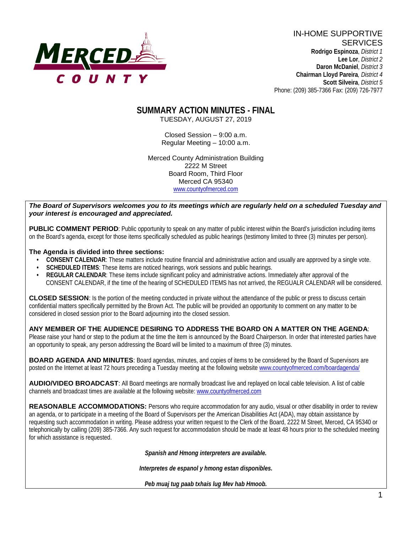

IN-HOME SUPPORTIVE **SERVICES Rodrigo Espinoza**, *District 1*  **Lee Lor**, *District 2*  **Daron McDaniel**, *District 3* **Chairman Lloyd Pareira***, District 4*  **Scott Silveira**, *District 5* Phone: (209) 385-7366 Fax: (209) 726-7977

### **SUMMARY ACTION MINUTES - FINAL** TUESDAY, AUGUST 27, 2019

Closed Session – 9:00 a.m. Regular Meeting – 10:00 a.m.

Merced County Administration Building 2222 M Street Board Room, Third Floor Merced CA 95340 www.countyofmerced.com

### *The Board of Supervisors welcomes you to its meetings which are regularly held on a scheduled Tuesday and your interest is encouraged and appreciated.*

**PUBLIC COMMENT PERIOD**: Public opportunity to speak on any matter of public interest within the Board's jurisdiction including items on the Board's agenda, except for those items specifically scheduled as public hearings (testimony limited to three (3) minutes per person).

### **The Agenda is divided into three sections:**

- **CONSENT CALENDAR**: These matters include routine financial and administrative action and usually are approved by a single vote.
- **SCHEDULED ITEMS:** These items are noticed hearings, work sessions and public hearings.
- **REGULAR CALENDAR:** These items include significant policy and administrative actions. Immediately after approval of the CONSENT CALENDAR, if the time of the hearing of SCHEDULED ITEMS has not arrived, the REGUALR CALENDAR will be considered.

**CLOSED SESSION**: Is the portion of the meeting conducted in private without the attendance of the public or press to discuss certain confidential matters specifically permitted by the Brown Act. The public will be provided an opportunity to comment on any matter to be considered in closed session prior to the Board adjourning into the closed session.

### **ANY MEMBER OF THE AUDIENCE DESIRING TO ADDRESS THE BOARD ON A MATTER ON THE AGENDA**:

Please raise your hand or step to the podium at the time the item is announced by the Board Chairperson. In order that interested parties have an opportunity to speak, any person addressing the Board will be limited to a maximum of three (3) minutes.

**BOARD AGENDA AND MINUTES:** Board agendas, minutes, and copies of items to be considered by the Board of Supervisors are posted on the Internet at least 72 hours preceding a Tuesday meeting at the following website [www.countyofmerced.com/boardagenda/](http://www.countyofmerced.com/boardagenda/) 

**AUDIO/VIDEO BROADCAST**: All Board meetings are normally broadcast live and replayed on local cable television. A list of cable channels and broadcast times are available at the following website[: www.countyofmerced.com](http://www.countyofmerced.com/)

**REASONABLE ACCOMMODATIONS:** Persons who require accommodation for any audio, visual or other disability in order to review an agenda, or to participate in a meeting of the Board of Supervisors per the American Disabilities Act (ADA), may obtain assistance by requesting such accommodation in writing. Please address your written request to the Clerk of the Board, 2222 M Street, Merced, CA 95340 or telephonically by calling (209) 385-7366. Any such request for accommodation should be made at least 48 hours prior to the scheduled meeting for which assistance is requested.

*Spanish and Hmong interpreters are available.*

*Interpretes de espanol y hmong estan disponibles.*

*Peb muaj tug paab txhais lug Mev hab Hmoob.*